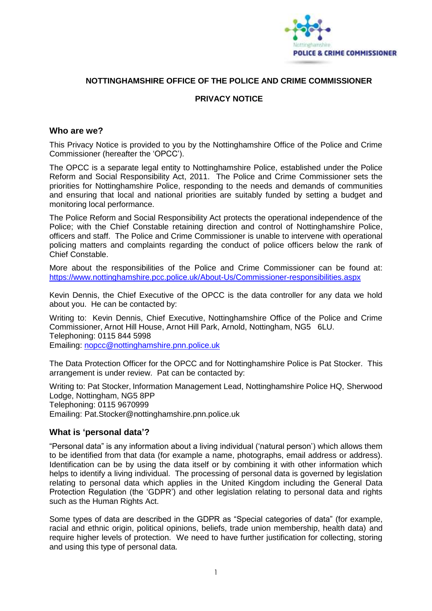

## **NOTTINGHAMSHIRE OFFICE OF THE POLICE AND CRIME COMMISSIONER**

## **PRIVACY NOTICE**

#### **Who are we?**

This Privacy Notice is provided to you by the Nottinghamshire Office of the Police and Crime Commissioner (hereafter the 'OPCC').

The OPCC is a separate legal entity to Nottinghamshire Police, established under the Police Reform and Social Responsibility Act, 2011. The Police and Crime Commissioner sets the priorities for Nottinghamshire Police, responding to the needs and demands of communities and ensuring that local and national priorities are suitably funded by setting a budget and monitoring local performance.

The Police Reform and Social Responsibility Act protects the operational independence of the Police; with the Chief Constable retaining direction and control of Nottinghamshire Police, officers and staff. The Police and Crime Commissioner is unable to intervene with operational policing matters and complaints regarding the conduct of police officers below the rank of Chief Constable.

More about the responsibilities of the Police and Crime Commissioner can be found at: <https://www.nottinghamshire.pcc.police.uk/About-Us/Commissioner-responsibilities.aspx>

Kevin Dennis, the Chief Executive of the OPCC is the data controller for any data we hold about you. He can be contacted by:

Writing to: Kevin Dennis, Chief Executive, Nottinghamshire Office of the Police and Crime Commissioner, Arnot Hill House, Arnot Hill Park, Arnold, Nottingham, NG5 6LU. Telephoning: 0115 844 5998 Emailing: [nopcc@nottinghamshire.pnn.police.uk](mailto:nopcc@nottinghamshire.pnn.police.uk)

The Data Protection Officer for the OPCC and for Nottinghamshire Police is Pat Stocker. This arrangement is under review. Pat can be contacted by:

Writing to: Pat Stocker, Information Management Lead, Nottinghamshire Police HQ, Sherwood Lodge, Nottingham, NG5 8PP Telephoning: 0115 9670999 Emailing: Pat.Stocker@nottinghamshire.pnn.police.uk

## **What is 'personal data'?**

"Personal data" is any information about a living individual ('natural person') which allows them to be identified from that data (for example a name, photographs, email address or address). Identification can be by using the data itself or by combining it with other information which helps to identify a living individual. The processing of personal data is governed by legislation relating to personal data which applies in the United Kingdom including the General Data Protection Regulation (the 'GDPR') and other legislation relating to personal data and rights such as the Human Rights Act.

Some types of data are described in the GDPR as "Special categories of data" (for example, racial and ethnic origin, political opinions, beliefs, trade union membership, health data) and require higher levels of protection. We need to have further justification for collecting, storing and using this type of personal data.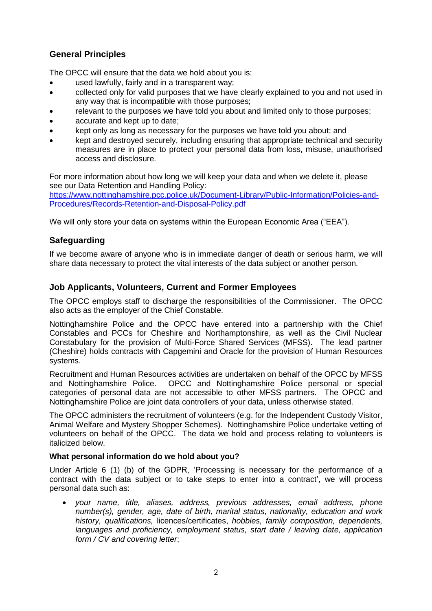# **General Principles**

The OPCC will ensure that the data we hold about you is:

- used lawfully, fairly and in a transparent way;
- collected only for valid purposes that we have clearly explained to you and not used in any way that is incompatible with those purposes;
- relevant to the purposes we have told you about and limited only to those purposes;
- accurate and kept up to date;
- kept only as long as necessary for the purposes we have told you about; and
- kept and destroyed securely, including ensuring that appropriate technical and security measures are in place to protect your personal data from loss, misuse, unauthorised access and disclosure.

For more information about how long we will keep your data and when we delete it, please see our Data Retention and Handling Policy:

[https://www.nottinghamshire.pcc.police.uk/Document-Library/Public-Information/Policies-and-](https://www.nottinghamshire.pcc.police.uk/Document-Library/Public-Information/Policies-and-Procedures/Records-Retention-and-Disposal-Policy.pdf)[Procedures/Records-Retention-and-Disposal-Policy.pdf](https://www.nottinghamshire.pcc.police.uk/Document-Library/Public-Information/Policies-and-Procedures/Records-Retention-and-Disposal-Policy.pdf)

We will only store your data on systems within the European Economic Area ("EEA").

## **Safeguarding**

If we become aware of anyone who is in immediate danger of death or serious harm, we will share data necessary to protect the vital interests of the data subject or another person.

## **Job Applicants, Volunteers, Current and Former Employees**

The OPCC employs staff to discharge the responsibilities of the Commissioner. The OPCC also acts as the employer of the Chief Constable.

Nottinghamshire Police and the OPCC have entered into a partnership with the Chief Constables and PCCs for Cheshire and Northamptonshire, as well as the Civil Nuclear Constabulary for the provision of Multi-Force Shared Services (MFSS). The lead partner (Cheshire) holds contracts with Capgemini and Oracle for the provision of Human Resources systems.

Recruitment and Human Resources activities are undertaken on behalf of the OPCC by MFSS and Nottinghamshire Police. OPCC and Nottinghamshire Police personal or special categories of personal data are not accessible to other MFSS partners. The OPCC and Nottinghamshire Police are joint data controllers of your data, unless otherwise stated.

The OPCC administers the recruitment of volunteers (e.g. for the Independent Custody Visitor, Animal Welfare and Mystery Shopper Schemes). Nottinghamshire Police undertake vetting of volunteers on behalf of the OPCC. The data we hold and process relating to volunteers is italicized below.

## **What personal information do we hold about you?**

Under Article 6 (1) (b) of the GDPR, 'Processing is necessary for the performance of a contract with the data subject or to take steps to enter into a contract', we will process personal data such as:

 *your name, title, aliases, address, previous addresses, email address, phone number(s), gender, age, date of birth, marital status, nationality, education and work history, qualifications,* licences/certificates, *hobbies, family composition, dependents, languages and proficiency, employment status, start date / leaving date, application form / CV and covering letter*;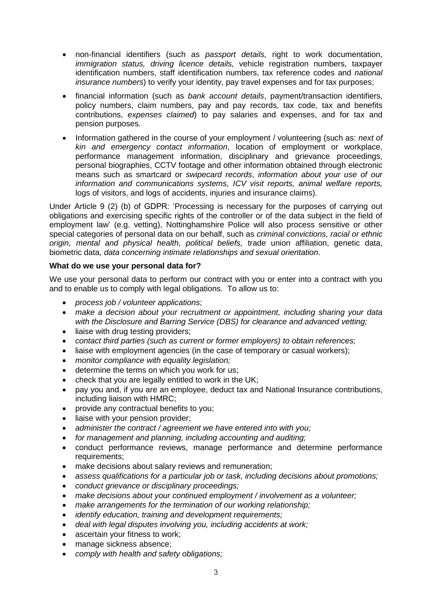- non-financial identifiers (such as *passport details,* right to work documentation, *immigration status, driving licence details,* vehicle registration numbers, taxpayer identification numbers, staff identification numbers, tax reference codes and *national insurance numbers*) to verify your identity, pay travel expenses and for tax purposes;
- financial information (such as *bank account details*, payment/transaction identifiers, policy numbers, claim numbers, pay and pay records, tax code, tax and benefits contributions, *expenses claimed*) to pay salaries and expenses, and for tax and pension purposes.
- Information gathered in the course of your employment / volunteering (such as: *next of kin and emergency contact information*, location of employment or workplace, performance management information, disciplinary and grievance proceedings, personal biographies, CCTV footage and other information obtained through electronic means such as smartcard or *swipecard records*, *information about your use of our information and communications systems, ICV visit reports, animal welfare reports,* logs of visitors, and logs of accidents, injuries and insurance claims).

Under Article 9 (2) (b) of GDPR: 'Processing is necessary for the purposes of carrying out obligations and exercising specific rights of the controller or of the data subject in the field of employment law' (e.g. vetting), Nottinghamshire Police will also process sensitive or other special categories of personal data on our behalf, such as *criminal convictions, racial or ethnic origin, mental and physical health, political beliefs,* trade union affiliation, genetic data, biometric data, *data concerning intimate relationships and sexual orientation*.

## **What do we use your personal data for?**

We use your personal data to perform our contract with you or enter into a contract with you and to enable us to comply with legal obligations. To allow us to:

- *process job / volunteer applications*;
- *make a decision about your recruitment or appointment, including sharing your data with the Disclosure and Barring Service (DBS) for clearance and advanced vetting;*
- liaise with drug testing providers;
- *contact third parties (such as current or former employers) to obtain references;*
- liaise with employment agencies (in the case of temporary or casual workers);
- *monitor compliance with equality legislation;*
- determine the terms on which you work for us;
- check that you are legally entitled to work in the UK;
- pay you and, if you are an employee, deduct tax and National Insurance contributions, including liaison with HMRC;
- provide any contractual benefits to you;
- liaise with your pension provider;
- *administer the contract / agreement we have entered into with you;*
- *for management and planning, including accounting and auditing;*
- conduct performance reviews, manage performance and determine performance requirements;
- make decisions about salary reviews and remuneration;
- *assess qualifications for a particular job or task, including decisions about promotions;*
- *conduct grievance or disciplinary proceedings;*
- *make decisions about your continued employment / involvement as a volunteer;*
- *make arrangements for the termination of our working relationship;*
- *identify education, training and development requirements;*
- *deal with legal disputes involving you, including accidents at work;*
- ascertain your fitness to work;
- manage sickness absence;
- *comply with health and safety obligations;*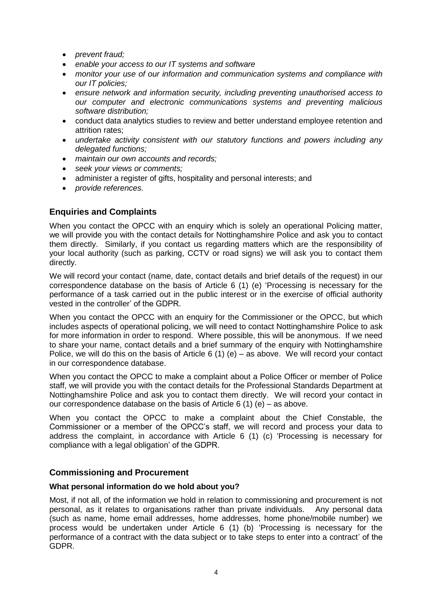- *prevent fraud:*
- *enable your access to our IT systems and software*
- *monitor your use of our information and communication systems and compliance with our IT policies;*
- *ensure network and information security, including preventing unauthorised access to our computer and electronic communications systems and preventing malicious software distribution;*
- conduct data analytics studies to review and better understand employee retention and attrition rates;
- *undertake activity consistent with our statutory functions and powers including any delegated functions;*
- *maintain our own accounts and records;*
- *seek your views or comments;*
- administer a register of gifts, hospitality and personal interests; and
- *provide references.*

# **Enquiries and Complaints**

When you contact the OPCC with an enquiry which is solely an operational Policing matter, we will provide you with the contact details for Nottinghamshire Police and ask you to contact them directly. Similarly, if you contact us regarding matters which are the responsibility of your local authority (such as parking, CCTV or road signs) we will ask you to contact them directly.

We will record your contact (name, date, contact details and brief details of the request) in our correspondence database on the basis of Article 6 (1) (e) 'Processing is necessary for the performance of a task carried out in the public interest or in the exercise of official authority vested in the controller' of the GDPR.

When you contact the OPCC with an enquiry for the Commissioner or the OPCC, but which includes aspects of operational policing, we will need to contact Nottinghamshire Police to ask for more information in order to respond. Where possible, this will be anonymous. If we need to share your name, contact details and a brief summary of the enquiry with Nottinghamshire Police, we will do this on the basis of Article 6 (1) (e) – as above. We will record your contact in our correspondence database.

When you contact the OPCC to make a complaint about a Police Officer or member of Police staff, we will provide you with the contact details for the Professional Standards Department at Nottinghamshire Police and ask you to contact them directly. We will record your contact in our correspondence database on the basis of Article 6 (1) (e) – as above.

When you contact the OPCC to make a complaint about the Chief Constable, the Commissioner or a member of the OPCC's staff, we will record and process your data to address the complaint, in accordance with Article 6 (1) (c) 'Processing is necessary for compliance with a legal obligation' of the GDPR.

## **Commissioning and Procurement**

## **What personal information do we hold about you?**

Most, if not all, of the information we hold in relation to commissioning and procurement is not personal, as it relates to organisations rather than private individuals. Any personal data (such as name, home email addresses, home addresses, home phone/mobile number) we process would be undertaken under Article 6 (1) (b) 'Processing is necessary for the performance of a contract with the data subject or to take steps to enter into a contract' of the GDPR.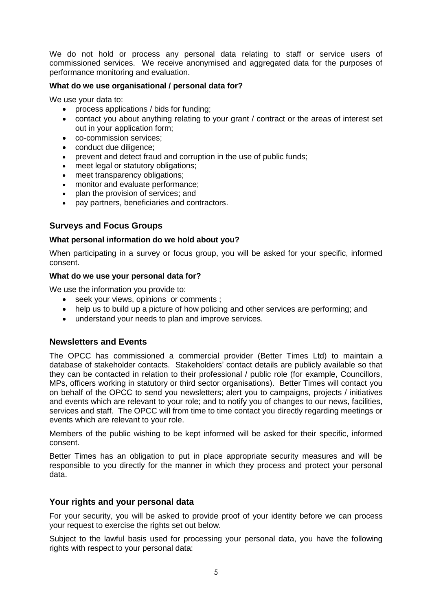We do not hold or process any personal data relating to staff or service users of commissioned services. We receive anonymised and aggregated data for the purposes of performance monitoring and evaluation.

### **What do we use organisational / personal data for?**

We use your data to:

- process applications / bids for funding;
- contact you about anything relating to your grant / contract or the areas of interest set out in your application form;
- co-commission services;
- conduct due diligence;
- prevent and detect fraud and corruption in the use of public funds;
- meet legal or statutory obligations;
- meet transparency obligations;
- monitor and evaluate performance;
- plan the provision of services; and
- pay partners, beneficiaries and contractors.

## **Surveys and Focus Groups**

#### **What personal information do we hold about you?**

When participating in a survey or focus group, you will be asked for your specific, informed consent.

#### **What do we use your personal data for?**

We use the information you provide to:

- seek your views, opinions or comments ;
- help us to build up a picture of how policing and other services are performing; and
- understand your needs to plan and improve services.

## **Newsletters and Events**

The OPCC has commissioned a commercial provider (Better Times Ltd) to maintain a database of stakeholder contacts. Stakeholders' contact details are publicly available so that they can be contacted in relation to their professional / public role (for example, Councillors, MPs, officers working in statutory or third sector organisations). Better Times will contact you on behalf of the OPCC to send you newsletters; alert you to campaigns, projects / initiatives and events which are relevant to your role; and to notify you of changes to our news, facilities, services and staff. The OPCC will from time to time contact you directly regarding meetings or events which are relevant to your role.

Members of the public wishing to be kept informed will be asked for their specific, informed consent.

Better Times has an obligation to put in place appropriate security measures and will be responsible to you directly for the manner in which they process and protect your personal data.

## **Your rights and your personal data**

For your security, you will be asked to provide proof of your identity before we can process your request to exercise the rights set out below.

Subject to the lawful basis used for processing your personal data, you have the following rights with respect to your personal data: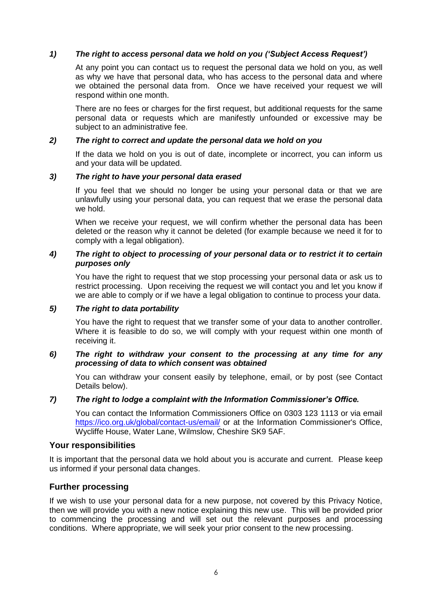## *1) The right to access personal data we hold on you ('Subject Access Request')*

At any point you can contact us to request the personal data we hold on you, as well as why we have that personal data, who has access to the personal data and where we obtained the personal data from. Once we have received your request we will respond within one month.

There are no fees or charges for the first request, but additional requests for the same personal data or requests which are manifestly unfounded or excessive may be subject to an administrative fee.

## *2) The right to correct and update the personal data we hold on you*

If the data we hold on you is out of date, incomplete or incorrect, you can inform us and your data will be updated.

## *3) The right to have your personal data erased*

If you feel that we should no longer be using your personal data or that we are unlawfully using your personal data, you can request that we erase the personal data we hold.

When we receive your request, we will confirm whether the personal data has been deleted or the reason why it cannot be deleted (for example because we need it for to comply with a legal obligation).

## *4) The right to object to processing of your personal data or to restrict it to certain purposes only*

You have the right to request that we stop processing your personal data or ask us to restrict processing. Upon receiving the request we will contact you and let you know if we are able to comply or if we have a legal obligation to continue to process your data.

## *5) The right to data portability*

You have the right to request that we transfer some of your data to another controller. Where it is feasible to do so, we will comply with your request within one month of receiving it.

#### *6) The right to withdraw your consent to the processing at any time for any processing of data to which consent was obtained*

You can withdraw your consent easily by telephone, email, or by post (see Contact Details below).

## *7) The right to lodge a complaint with the Information Commissioner's Office.*

You can contact the Information Commissioners Office on 0303 123 1113 or via email <https://ico.org.uk/global/contact-us/email/> or at the Information Commissioner's Office, Wycliffe House, Water Lane, Wilmslow, Cheshire SK9 5AF.

## **Your responsibilities**

It is important that the personal data we hold about you is accurate and current. Please keep us informed if your personal data changes.

## **Further processing**

If we wish to use your personal data for a new purpose, not covered by this Privacy Notice, then we will provide you with a new notice explaining this new use. This will be provided prior to commencing the processing and will set out the relevant purposes and processing conditions. Where appropriate, we will seek your prior consent to the new processing.